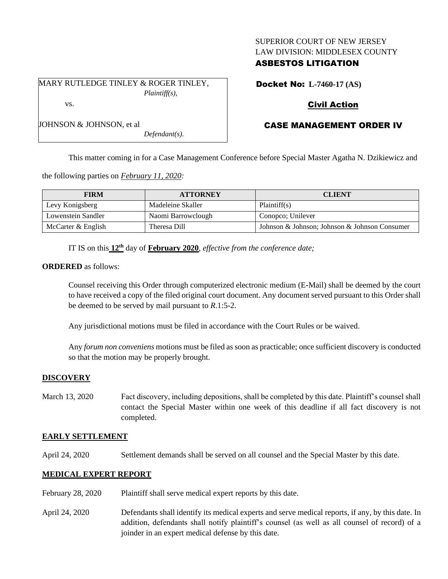## SUPERIOR COURT OF NEW JERSEY LAW DIVISION: MIDDLESEX COUNTY

## ASBESTOS LITIGATION

MARY RUTLEDGE TINLEY & ROGER TINLEY, *Plaintiff(s),* vs.

*Defendant(s).*

Docket No: **L-7460-17 (AS)**

# Civil Action

# CASE MANAGEMENT ORDER IV

This matter coming in for a Case Management Conference before Special Master Agatha N. Dzikiewicz and

the following parties on *February 11, 2020:*

JOHNSON & JOHNSON, et al

| <b>FIRM</b>        | <b>ATTORNEY</b>    | <b>CLIENT</b>                                 |
|--------------------|--------------------|-----------------------------------------------|
| Levy Konigsberg    | Madeleine Skaller  | Plaintiff(s)                                  |
| Lowenstein Sandler | Naomi Barrowclough | Conopco; Unilever                             |
| McCarter & English | Theresa Dill       | Johnson & Johnson; Johnson & Johnson Consumer |

IT IS on this **12th** day of **February 2020**, *effective from the conference date;*

**ORDERED** as follows:

Counsel receiving this Order through computerized electronic medium (E-Mail) shall be deemed by the court to have received a copy of the filed original court document. Any document served pursuant to this Order shall be deemed to be served by mail pursuant to *R*.1:5-2.

Any jurisdictional motions must be filed in accordance with the Court Rules or be waived.

Any *forum non conveniens* motions must be filed as soon as practicable; once sufficient discovery is conducted so that the motion may be properly brought.

### **DISCOVERY**

March 13, 2020 Fact discovery, including depositions, shall be completed by this date. Plaintiff's counsel shall contact the Special Master within one week of this deadline if all fact discovery is not completed.

### **EARLY SETTLEMENT**

April 24, 2020 Settlement demands shall be served on all counsel and the Special Master by this date.

### **MEDICAL EXPERT REPORT**

- February 28, 2020 Plaintiff shall serve medical expert reports by this date.
- April 24, 2020 Defendants shall identify its medical experts and serve medical reports, if any, by this date. In addition, defendants shall notify plaintiff's counsel (as well as all counsel of record) of a joinder in an expert medical defense by this date.